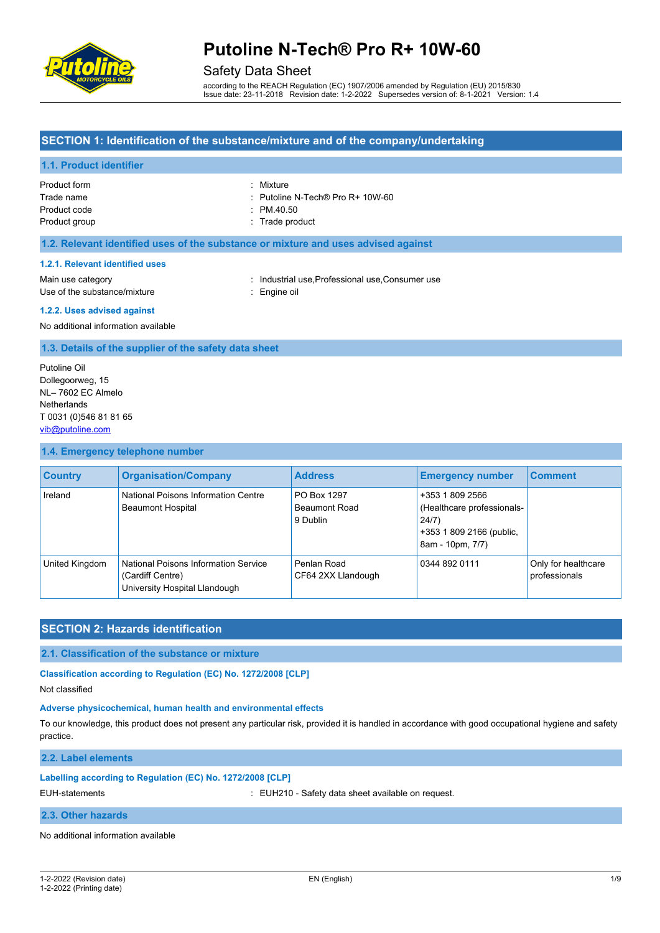

# Safety Data Sheet

according to the REACH Regulation (EC) 1907/2006 amended by Regulation (EU) 2015/830 Issue date: 23-11-2018 Revision date: 1-2-2022 Supersedes version of: 8-1-2021 Version: 1.4

# **SECTION 1: Identification of the substance/mixture and of the company/undertaking**

# **1.1. Product identifier**

| Product form  | : Mixture                                   |
|---------------|---------------------------------------------|
| Trade name    | $\therefore$ Putoline N-Tech® Pro R+ 10W-60 |
| Product code  | $\therefore$ PM 40.50                       |
| Product group | : Trade product                             |

# **1.2. Relevant identified uses of the substance or mixture and uses advised against**

#### **1.2.1. Relevant identified uses**

Use of the substance/mixture : Engine oil

Main use category **industrial use, Professional use, Consumer use** in Main use category

# **1.2.2. Uses advised against**

No additional information available

# **1.3. Details of the supplier of the safety data sheet**

Putoline Oil Dollegoorweg, 15 NL– 7602 EC Almelo **Netherlands** T 0031 (0)546 81 81 65 [vib@putoline.com](mailto:vib@putoline.com)

#### **1.4. Emergency telephone number**

| <b>Country</b> | <b>Organisation/Company</b>                                                               | <b>Address</b>                                  | <b>Emergency number</b>                                                                                | <b>Comment</b>                       |
|----------------|-------------------------------------------------------------------------------------------|-------------------------------------------------|--------------------------------------------------------------------------------------------------------|--------------------------------------|
| Ireland        | National Poisons Information Centre<br><b>Beaumont Hospital</b>                           | PO Box 1297<br><b>Beaumont Road</b><br>9 Dublin | +353 1 809 2566<br>(Healthcare professionals-<br>24/7)<br>+353 1 809 2166 (public,<br>8am - 10pm, 7/7) |                                      |
| United Kingdom | National Poisons Information Service<br>(Cardiff Centre)<br>University Hospital Llandough | Penlan Road<br>CF64 2XX Llandough               | 0344 892 0111                                                                                          | Only for healthcare<br>professionals |

# **SECTION 2: Hazards identification**

# **2.1. Classification of the substance or mixture**

**Classification according to Regulation (EC) No. 1272/2008 [CLP]**

Not classified

## **Adverse physicochemical, human health and environmental effects**

To our knowledge, this product does not present any particular risk, provided it is handled in accordance with good occupational hygiene and safety practice.

**2.2. Label elements**

# **Labelling according to Regulation (EC) No. 1272/2008 [CLP]**

EUH-statements **in the statements** : EUH210 - Safety data sheet available on request.

# **2.3. Other hazards**

No additional information available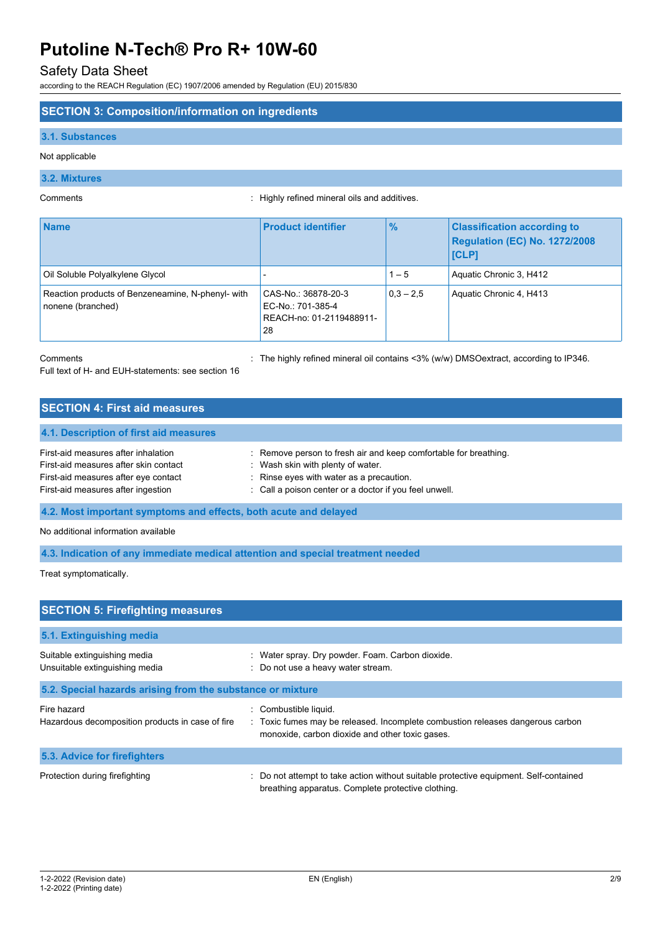# Safety Data Sheet

according to the REACH Regulation (EC) 1907/2006 amended by Regulation (EU) 2015/830

# **SECTION 3: Composition/information on ingredients**

### **3.1. Substances**

# Not applicable

# **3.2. Mixtures**

Comments : Highly refined mineral oils and additives.

| <b>Name</b>                                                            | <b>Product identifier</b>                                                  | $\frac{9}{6}$ | <b>Classification according to</b><br><b>Regulation (EC) No. 1272/2008</b><br><b>ICLP1</b> |
|------------------------------------------------------------------------|----------------------------------------------------------------------------|---------------|--------------------------------------------------------------------------------------------|
| Oil Soluble Polyalkylene Glycol                                        |                                                                            | $1 - 5$       | Aquatic Chronic 3, H412                                                                    |
| Reaction products of Benzeneamine, N-phenyl- with<br>nonene (branched) | CAS-No.: 36878-20-3<br>EC-No.: 701-385-4<br>REACH-no: 01-2119488911-<br>28 | $0.3 - 2.5$   | Aquatic Chronic 4, H413                                                                    |

Full text of H- and EUH-statements: see section 16

Comments **1998** Comments 20% Comments 20% (w/w) DMSOextract, according to IP346.

# **SECTION 4: First aid measures 4.1. Description of first aid measures** First-aid measures after inhalation : Remove person to fresh air and keep comfortable for breathing. First-aid measures after skin contact : Wash skin with plenty of water. First-aid measures after eye contact : Rinse eyes with water as a precaution. First-aid measures after ingestion : Call a poison center or a doctor if you feel unwell.

**4.2. Most important symptoms and effects, both acute and delayed**

No additional information available

**4.3. Indication of any immediate medical attention and special treatment needed**

Treat symptomatically.

| <b>SECTION 5: Firefighting measures</b>                         |                                                                                                                                                          |  |  |  |
|-----------------------------------------------------------------|----------------------------------------------------------------------------------------------------------------------------------------------------------|--|--|--|
| 5.1. Extinguishing media                                        |                                                                                                                                                          |  |  |  |
| Suitable extinguishing media<br>Unsuitable extinguishing media  | : Water spray. Dry powder. Foam. Carbon dioxide.<br>: Do not use a heavy water stream.                                                                   |  |  |  |
| 5.2. Special hazards arising from the substance or mixture      |                                                                                                                                                          |  |  |  |
| Fire hazard<br>Hazardous decomposition products in case of fire | Combustible liquid.<br>: Toxic fumes may be released. Incomplete combustion releases dangerous carbon<br>monoxide, carbon dioxide and other toxic gases. |  |  |  |
| 5.3. Advice for firefighters                                    |                                                                                                                                                          |  |  |  |
| Protection during firefighting                                  | : Do not attempt to take action without suitable protective equipment. Self-contained<br>breathing apparatus. Complete protective clothing.              |  |  |  |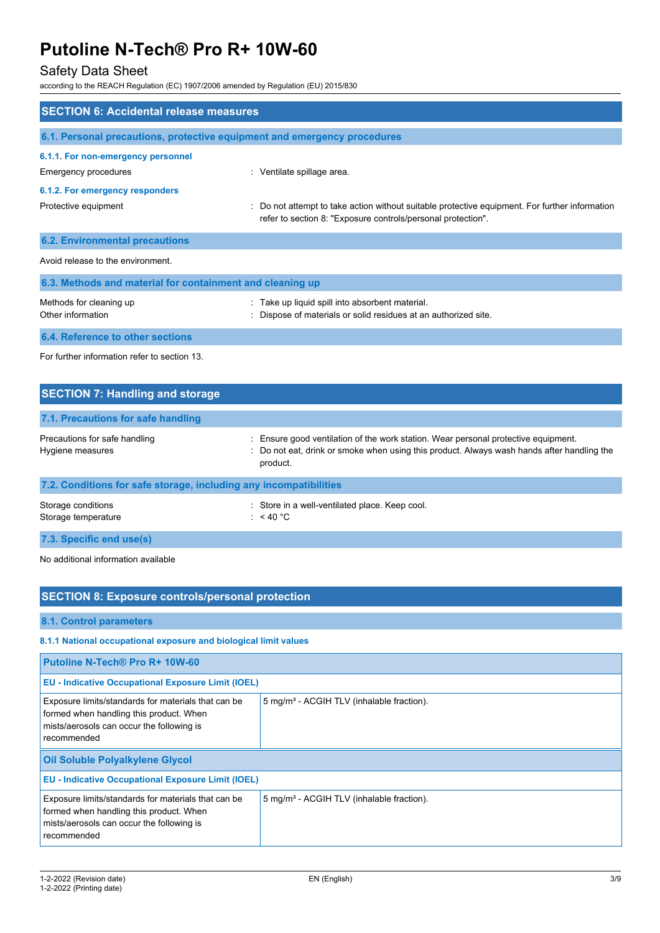# Safety Data Sheet

according to the REACH Regulation (EC) 1907/2006 amended by Regulation (EU) 2015/830

| <b>SECTION 6: Accidental release measures</b>                            |                                                                                                                                                              |
|--------------------------------------------------------------------------|--------------------------------------------------------------------------------------------------------------------------------------------------------------|
| 6.1. Personal precautions, protective equipment and emergency procedures |                                                                                                                                                              |
| 6.1.1. For non-emergency personnel                                       |                                                                                                                                                              |
| Emergency procedures                                                     | : Ventilate spillage area.                                                                                                                                   |
| 6.1.2. For emergency responders                                          |                                                                                                                                                              |
| Protective equipment                                                     | Do not attempt to take action without suitable protective equipment. For further information<br>refer to section 8: "Exposure controls/personal protection". |
| <b>6.2. Environmental precautions</b>                                    |                                                                                                                                                              |
| Avoid release to the environment.                                        |                                                                                                                                                              |
| 6.3. Methods and material for containment and cleaning up                |                                                                                                                                                              |
| Methods for cleaning up<br>Other information                             | Take up liquid spill into absorbent material.<br>Dispose of materials or solid residues at an authorized site.                                               |
| 6.4. Reference to other sections                                         |                                                                                                                                                              |
| For further information refer to section 13                              |                                                                                                                                                              |

| <b>SECTION 7: Handling and storage</b>                            |                                                                                                                                                                                              |
|-------------------------------------------------------------------|----------------------------------------------------------------------------------------------------------------------------------------------------------------------------------------------|
| 7.1. Precautions for safe handling                                |                                                                                                                                                                                              |
| Precautions for safe handling<br>Hygiene measures                 | : Ensure good ventilation of the work station. Wear personal protective equipment.<br>: Do not eat, drink or smoke when using this product. Always wash hands after handling the<br>product. |
| 7.2. Conditions for safe storage, including any incompatibilities |                                                                                                                                                                                              |
| Storage conditions<br>Storage temperature                         | : Store in a well-ventilated place. Keep cool.<br>: $<$ 40 °C                                                                                                                                |
| 7.3. Specific end use(s)                                          |                                                                                                                                                                                              |

No additional information available

| <b>SECTION 8: Exposure controls/personal protection</b>                                                                                                    |                                                       |  |
|------------------------------------------------------------------------------------------------------------------------------------------------------------|-------------------------------------------------------|--|
| 8.1. Control parameters                                                                                                                                    |                                                       |  |
| 8.1.1 National occupational exposure and biological limit values                                                                                           |                                                       |  |
| Putoline N-Tech® Pro R+ 10W-60                                                                                                                             |                                                       |  |
| <b>EU - Indicative Occupational Exposure Limit (IOEL)</b>                                                                                                  |                                                       |  |
| Exposure limits/standards for materials that can be<br>formed when handling this product. When<br>mists/aerosols can occur the following is<br>recommended | 5 mg/m <sup>3</sup> - ACGIH TLV (inhalable fraction). |  |
| Oil Soluble Polyalkylene Glycol                                                                                                                            |                                                       |  |
| <b>EU - Indicative Occupational Exposure Limit (IOEL)</b>                                                                                                  |                                                       |  |
| Exposure limits/standards for materials that can be<br>formed when handling this product. When<br>mists/aerosols can occur the following is<br>recommended | 5 mg/m <sup>3</sup> - ACGIH TLV (inhalable fraction). |  |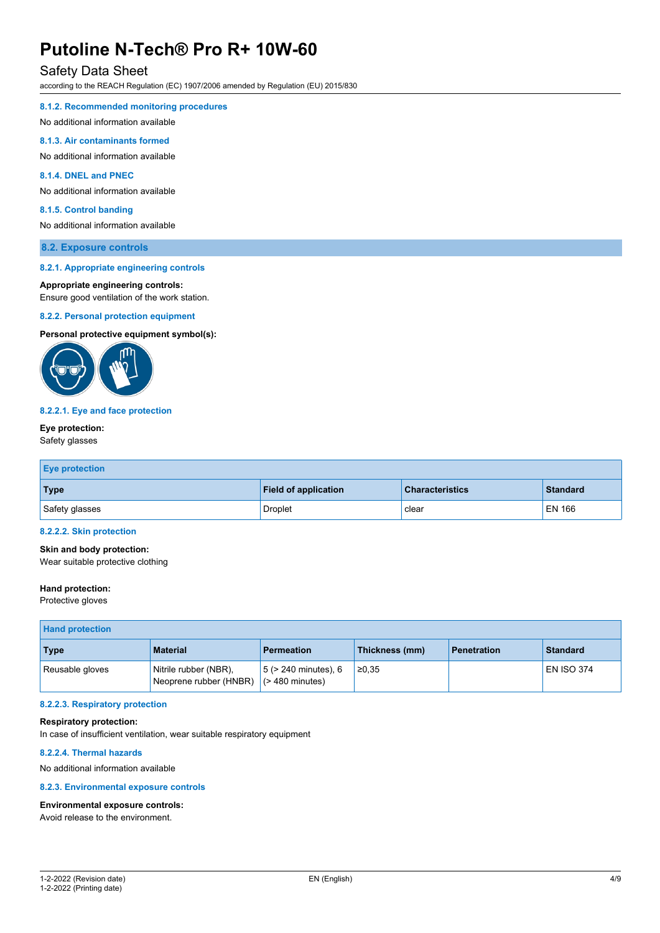# Safety Data Sheet

according to the REACH Regulation (EC) 1907/2006 amended by Regulation (EU) 2015/830

# **8.1.2. Recommended monitoring procedures**

No additional information available

# **8.1.3. Air contaminants formed**

No additional information available

# **8.1.4. DNEL and PNEC**

No additional information available

### **8.1.5. Control banding**

No additional information available

# **8.2. Exposure controls**

#### **8.2.1. Appropriate engineering controls**

### **Appropriate engineering controls:**

Ensure good ventilation of the work station.

#### **8.2.2. Personal protection equipment**

**Personal protective equipment symbol(s):**



#### **8.2.2.1. Eye and face protection**

# **Eye protection:**

# Safety glasses

| <b>Eye protection</b> |                             |                        |                 |
|-----------------------|-----------------------------|------------------------|-----------------|
| <b>Type</b>           | <b>Field of application</b> | <b>Characteristics</b> | <b>Standard</b> |
| Safety glasses        | <b>Droplet</b>              | clear                  | <b>EN 166</b>   |

### **8.2.2.2. Skin protection**

**Skin and body protection:**

Wear suitable protective clothing

# **Hand protection:**

Protective gloves

| <b>Hand protection</b> |                                                 |                                                 |                |                    |                   |
|------------------------|-------------------------------------------------|-------------------------------------------------|----------------|--------------------|-------------------|
| <b>Type</b>            | <b>Material</b>                                 | <b>Permeation</b>                               | Thickness (mm) | <b>Penetration</b> | <b>Standard</b>   |
| Reusable gloves        | Nitrile rubber (NBR),<br>Neoprene rubber (HNBR) | $5$ ( $> 240$ minutes), 6<br>$($ > 480 minutes) | ≥0.35          |                    | <b>EN ISO 374</b> |

#### **8.2.2.3. Respiratory protection**

## **Respiratory protection:**

In case of insufficient ventilation, wear suitable respiratory equipment

### **8.2.2.4. Thermal hazards**

No additional information available

## **8.2.3. Environmental exposure controls**

# **Environmental exposure controls:**

Avoid release to the environment.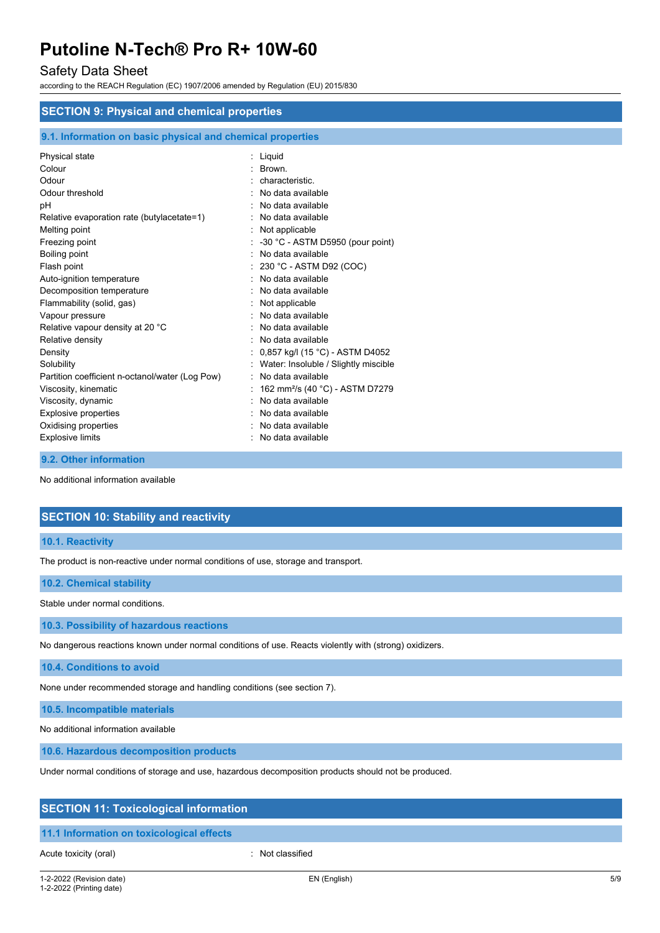# Safety Data Sheet

according to the REACH Regulation (EC) 1907/2006 amended by Regulation (EU) 2015/830

| <b>SECTION 9: Physical and chemical properties</b>         |  |                                             |
|------------------------------------------------------------|--|---------------------------------------------|
| 9.1. Information on basic physical and chemical properties |  |                                             |
| Physical state                                             |  | : Liquid                                    |
| Colour                                                     |  | : Brown.                                    |
| Odour                                                      |  | characteristic.                             |
| Odour threshold                                            |  | No data available                           |
| рH                                                         |  | No data available                           |
| Relative evaporation rate (butylacetate=1)                 |  | : No data available                         |
| Melting point                                              |  | : Not applicable                            |
| Freezing point                                             |  | -30 °C - ASTM D5950 (pour point)            |
| Boiling point                                              |  | : No data available                         |
| Flash point                                                |  | 230 °C - ASTM D92 (COC)                     |
| Auto-ignition temperature                                  |  | No data available                           |
| Decomposition temperature                                  |  | : No data available                         |
| Flammability (solid, gas)                                  |  | : Not applicable                            |
| Vapour pressure                                            |  | : No data available                         |
| Relative vapour density at 20 °C                           |  | No data available                           |
| Relative density                                           |  | No data available                           |
| Density                                                    |  | 0,857 kg/l (15 °C) - ASTM D4052             |
| Solubility                                                 |  | Water: Insoluble / Slightly miscible        |
| Partition coefficient n-octanol/water (Log Pow)            |  | : No data available                         |
| Viscosity, kinematic                                       |  | 162 mm <sup>2</sup> /s (40 °C) - ASTM D7279 |
| Viscosity, dynamic                                         |  | No data available                           |
| <b>Explosive properties</b>                                |  | No data available                           |
| Oxidising properties                                       |  | No data available                           |
| <b>Explosive limits</b>                                    |  | : No data available                         |
|                                                            |  |                                             |

### **9.2. Other information**

No additional information available

# **SECTION 10: Stability and reactivity**

# **10.1. Reactivity**

The product is non-reactive under normal conditions of use, storage and transport.

### **10.2. Chemical stability**

Stable under normal conditions.

# **10.3. Possibility of hazardous reactions**

No dangerous reactions known under normal conditions of use. Reacts violently with (strong) oxidizers.

**10.4. Conditions to avoid**

None under recommended storage and handling conditions (see section 7).

**10.5. Incompatible materials**

No additional information available

**10.6. Hazardous decomposition products**

Under normal conditions of storage and use, hazardous decomposition products should not be produced.

# **SECTION 11: Toxicological information**

# **11.1 Information on toxicological effects**

Acute toxicity (oral) **Example 2** Constant Constant Constant Constant Constant Constant Constant Constant Constant

1-2-2022 (Revision date) 1-2-2022 (Printing date)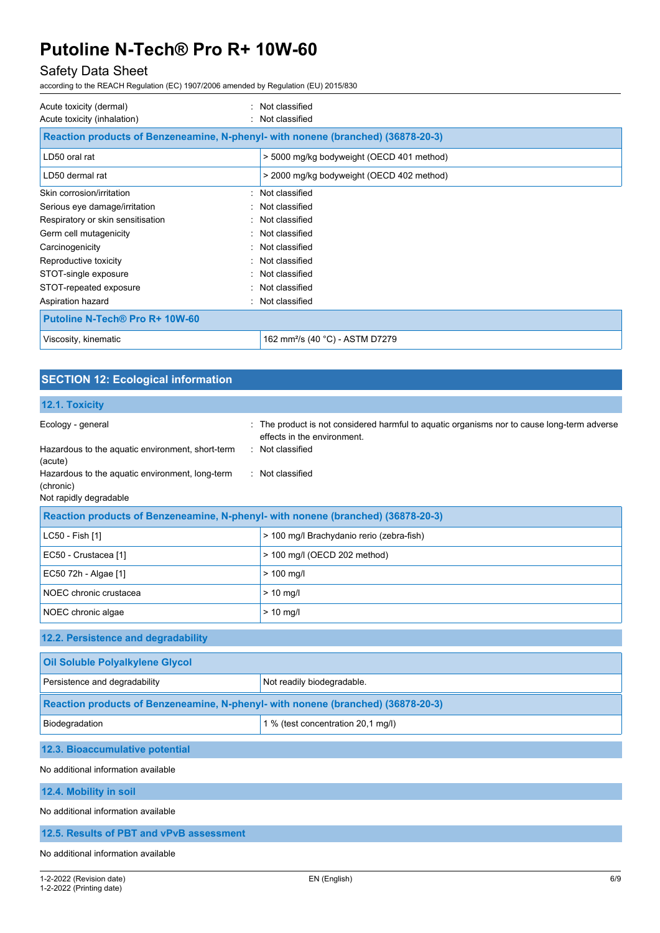# Safety Data Sheet

according to the REACH Regulation (EC) 1907/2006 amended by Regulation (EU) 2015/830

| Acute toxicity (dermal)<br>$\sim$<br>Acute toxicity (inhalation)                 | Not classified<br>: Not classified          |
|----------------------------------------------------------------------------------|---------------------------------------------|
| Reaction products of Benzeneamine, N-phenyl- with nonene (branched) (36878-20-3) |                                             |
| LD50 oral rat                                                                    | > 5000 mg/kg bodyweight (OECD 401 method)   |
| LD50 dermal rat                                                                  | > 2000 mg/kg bodyweight (OECD 402 method)   |
| Skin corrosion/irritation                                                        | : Not classified                            |
| Serious eye damage/irritation                                                    | : Not classified                            |
| Respiratory or skin sensitisation                                                | : Not classified                            |
| Germ cell mutagenicity                                                           | : Not classified                            |
| Carcinogenicity                                                                  | : Not classified                            |
| Reproductive toxicity                                                            | : Not classified                            |
| STOT-single exposure                                                             | : Not classified                            |
| STOT-repeated exposure                                                           | : Not classified                            |
| Aspiration hazard                                                                | : Not classified                            |
| <b>Putoline N-Tech® Pro R+ 10W-60</b>                                            |                                             |
| Viscosity, kinematic                                                             | 162 mm <sup>2</sup> /s (40 °C) - ASTM D7279 |

| <b>SECTION 12: Ecological information</b>                                              |                                                                                                                            |  |  |
|----------------------------------------------------------------------------------------|----------------------------------------------------------------------------------------------------------------------------|--|--|
| 12.1. Toxicity                                                                         |                                                                                                                            |  |  |
| Ecology - general                                                                      | : The product is not considered harmful to aquatic organisms nor to cause long-term adverse<br>effects in the environment. |  |  |
| Hazardous to the aquatic environment, short-term<br>(acute)                            | : Not classified                                                                                                           |  |  |
| Hazardous to the aquatic environment, long-term<br>(chronic)<br>Not rapidly degradable | : Not classified                                                                                                           |  |  |
| Reaction products of Benzeneamine, N-phenyl- with nonene (branched) (36878-20-3)       |                                                                                                                            |  |  |
| LC50 - Fish [1]                                                                        | > 100 mg/l Brachydanio rerio (zebra-fish)                                                                                  |  |  |
| EC50 - Crustacea [1]                                                                   | > 100 mg/l (OECD 202 method)                                                                                               |  |  |
| EC50 72h - Algae [1]                                                                   | $> 100$ mg/l                                                                                                               |  |  |
| NOEC chronic crustacea                                                                 | $> 10$ mg/l                                                                                                                |  |  |
| NOEC chronic algae                                                                     | $> 10$ mg/l                                                                                                                |  |  |
| 12.2. Persistence and degradability                                                    |                                                                                                                            |  |  |
| Oil Soluble Polyalkylene Glycol                                                        |                                                                                                                            |  |  |
| Persistence and degradability                                                          | Not readily biodegradable.                                                                                                 |  |  |
| Reaction products of Benzeneamine, N-phenyl- with nonene (branched) (36878-20-3)       |                                                                                                                            |  |  |
| Biodegradation                                                                         | 1 % (test concentration 20,1 mg/l)                                                                                         |  |  |
| 12.3. Bioaccumulative potential                                                        |                                                                                                                            |  |  |
| No additional information available                                                    |                                                                                                                            |  |  |
| 12.4. Mobility in soil                                                                 |                                                                                                                            |  |  |
| No additional information available                                                    |                                                                                                                            |  |  |

**12.5. Results of PBT and vPvB assessment**

No additional information available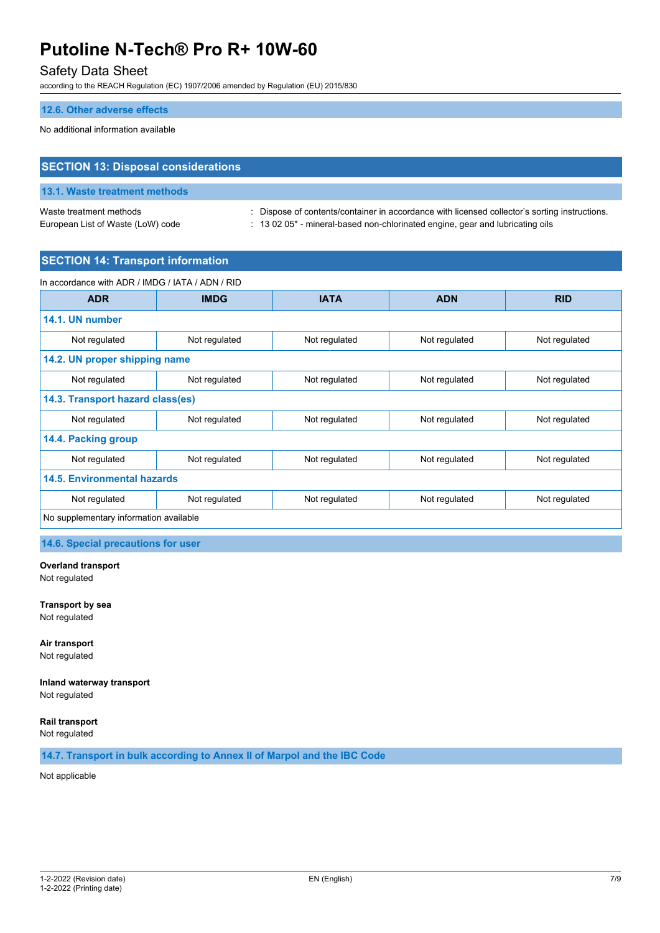# Safety Data Sheet

according to the REACH Regulation (EC) 1907/2006 amended by Regulation (EU) 2015/830

# **12.6. Other adverse effects**

No additional information available

| <b>SECTION 13: Disposal considerations</b> |                                                                                               |  |
|--------------------------------------------|-----------------------------------------------------------------------------------------------|--|
| 13.1. Waste treatment methods              |                                                                                               |  |
| Waste treatment methods                    | : Dispose of contents/container in accordance with licensed collector's sorting instructions. |  |
| European List of Waste (LoW) code          | $\pm$ 13 02 05 <sup>*</sup> - mineral-based non-chlorinated engine, gear and lubricating oils |  |

# **SECTION 14: Transport information**

| In accordance with ADR / IMDG / IATA / ADN / RID |               |               |               |               |
|--------------------------------------------------|---------------|---------------|---------------|---------------|
| <b>ADR</b>                                       | <b>IMDG</b>   | <b>IATA</b>   | <b>ADN</b>    | <b>RID</b>    |
| 14.1. UN number                                  |               |               |               |               |
| Not regulated                                    | Not regulated | Not regulated | Not regulated | Not regulated |
| 14.2. UN proper shipping name                    |               |               |               |               |
| Not regulated                                    | Not regulated | Not regulated | Not regulated | Not regulated |
| 14.3. Transport hazard class(es)                 |               |               |               |               |
| Not regulated                                    | Not regulated | Not regulated | Not regulated | Not regulated |
| 14.4. Packing group                              |               |               |               |               |
| Not regulated                                    | Not regulated | Not regulated | Not regulated | Not regulated |
| <b>14.5. Environmental hazards</b>               |               |               |               |               |
| Not regulated                                    | Not regulated | Not regulated | Not regulated | Not regulated |
| No supplementary information available           |               |               |               |               |

**14.6. Special precautions for user**

#### **Overland transport** Not regulated

**Transport by sea** Not regulated

**Air transport** Not regulated

**Inland waterway transport** Not regulated

**Rail transport**

Not regulated

**14.7. Transport in bulk according to Annex II of Marpol and the IBC Code**

Not applicable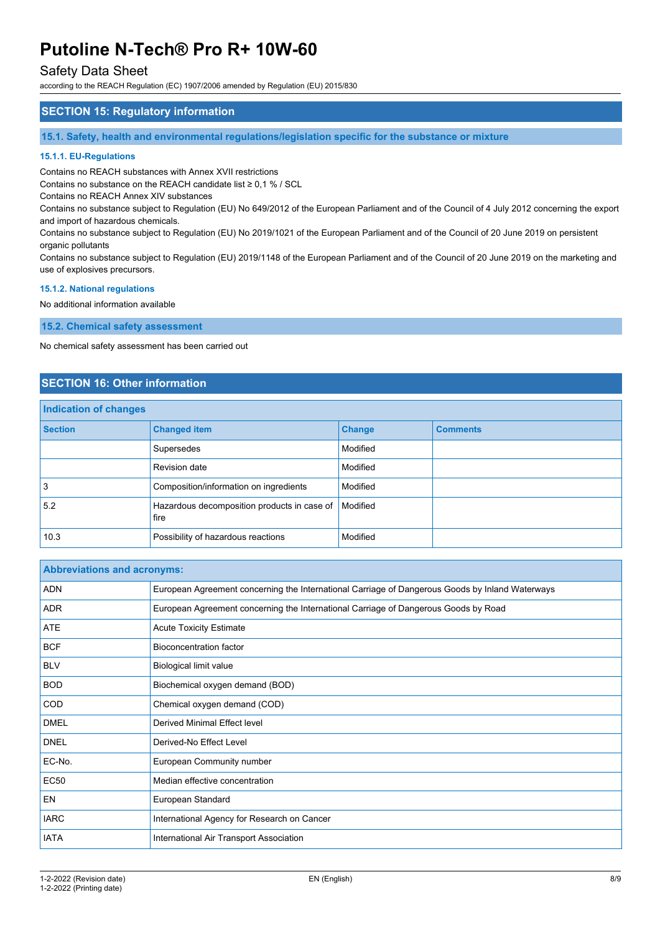# Safety Data Sheet

according to the REACH Regulation (EC) 1907/2006 amended by Regulation (EU) 2015/830

# **SECTION 15: Regulatory information**

**15.1. Safety, health and environmental regulations/legislation specific for the substance or mixture**

## **15.1.1. EU-Regulations**

Contains no REACH substances with Annex XVII restrictions

Contains no substance on the REACH candidate list ≥ 0,1 % / SCL

Contains no REACH Annex XIV substances

Contains no substance subject to Regulation (EU) No 649/2012 of the European Parliament and of the Council of 4 July 2012 concerning the export and import of hazardous chemicals.

Contains no substance subject to Regulation (EU) No 2019/1021 of the European Parliament and of the Council of 20 June 2019 on persistent organic pollutants

Contains no substance subject to Regulation (EU) 2019/1148 of the European Parliament and of the Council of 20 June 2019 on the marketing and use of explosives precursors.

#### **15.1.2. National regulations**

No additional information available

**15.2. Chemical safety assessment**

No chemical safety assessment has been carried out

# **SECTION 16: Other information**

| Indication of changes |                                                     |               |                 |
|-----------------------|-----------------------------------------------------|---------------|-----------------|
| <b>Section</b>        | <b>Changed item</b>                                 | <b>Change</b> | <b>Comments</b> |
|                       | Supersedes                                          | Modified      |                 |
|                       | Revision date                                       | Modified      |                 |
| 3                     | Composition/information on ingredients              | Modified      |                 |
| 5.2                   | Hazardous decomposition products in case of<br>fire | Modified      |                 |
| 10.3                  | Possibility of hazardous reactions                  | Modified      |                 |

| <b>Abbreviations and acronyms:</b> |                                                                                                 |
|------------------------------------|-------------------------------------------------------------------------------------------------|
| <b>ADN</b>                         | European Agreement concerning the International Carriage of Dangerous Goods by Inland Waterways |
| <b>ADR</b>                         | European Agreement concerning the International Carriage of Dangerous Goods by Road             |
| <b>ATE</b>                         | <b>Acute Toxicity Estimate</b>                                                                  |
| <b>BCF</b>                         | <b>Bioconcentration factor</b>                                                                  |
| <b>BLV</b>                         | Biological limit value                                                                          |
| <b>BOD</b>                         | Biochemical oxygen demand (BOD)                                                                 |
| <b>COD</b>                         | Chemical oxygen demand (COD)                                                                    |
| <b>DMEL</b>                        | <b>Derived Minimal Effect level</b>                                                             |
| <b>DNEL</b>                        | Derived-No Effect Level                                                                         |
| EC-No.                             | European Community number                                                                       |
| <b>EC50</b>                        | Median effective concentration                                                                  |
| EN                                 | European Standard                                                                               |
| <b>IARC</b>                        | International Agency for Research on Cancer                                                     |
| <b>IATA</b>                        | International Air Transport Association                                                         |